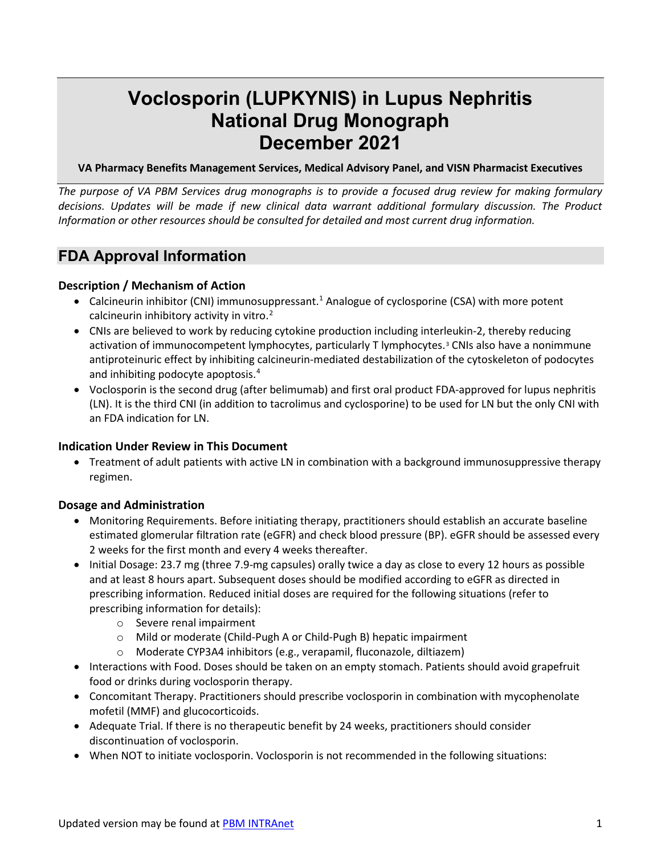# **Voclosporin (LUPKYNIS) in Lupus Nephritis National Drug Monograph December 2021**

**VA Pharmacy Benefits Management Services, Medical Advisory Panel, and VISN Pharmacist Executives** 

*The purpose of VA PBM Services drug monographs is to provide a focused drug review for making formulary decisions. Updates will be made if new clinical data warrant additional formulary discussion. The Product Information or other resources should be consulted for detailed and most current drug information.* 

## **FDA Approval Information**

#### **Description / Mechanism of Action**

- <span id="page-0-1"></span> calcineurin inhibitory activity in vitro. [2](#page-13-1) • Calcineurin inhibitor (CNI) immunosuppressant.<sup>[1](#page-13-0)</sup> Analogue of cyclosporine (CSA) with more potent
- <span id="page-0-0"></span>• CNIs are believed to work by reducing cytokine production including interleukin-2, thereby reducing activation of immunocompetent lymphocytes, particularly T lymphocytes.[3](#page-13-2) CNIs also have a nonimmune antiproteinuric effect by inhibiting calcineurin-mediated destabilization of the cytoskeleton of podocytes and inhibiting podocyte apoptosis. [4](#page-13-3)
- <span id="page-0-2"></span> an FDA indication for LN. • Voclosporin is the second drug (after belimumab) and first oral product FDA-approved for lupus nephritis (LN). It is the third CNI (in addition to tacrolimus and cyclosporine) to be used for LN but the only CNI with

#### **Indication Under Review in This Document**

 regimen. • Treatment of adult patients with active LN in combination with a background immunosuppressive therapy

#### **Dosage and Administration**

- estimated glomerular filtration rate (eGFR) and check blood pressure (BP). eGFR should be assessed every 2 weeks for the first month and every 4 weeks thereafter. • Monitoring Requirements. Before initiating therapy, practitioners should establish an accurate baseline
- prescribing information. Reduced initial doses are required for the following situations (refer to • Initial Dosage: 23.7 mg (three 7.9-mg capsules) orally twice a day as close to every 12 hours as possible and at least 8 hours apart. Subsequent doses should be modified according to eGFR as directed in prescribing information for details):
	- o Severe renal impairment
	- o Mild or moderate (Child-Pugh A or Child-Pugh B) hepatic impairment
	- o Moderate CYP3A4 inhibitors (e.g., verapamil, fluconazole, diltiazem)
- • Interactions with Food. Doses should be taken on an empty stomach. Patients should avoid grapefruit food or drinks during voclosporin therapy.
- Concomitant Therapy. Practitioners should prescribe voclosporin in combination with mycophenolate mofetil (MMF) and glucocorticoids.
- • Adequate Trial. If there is no therapeutic benefit by 24 weeks, practitioners should consider discontinuation of voclosporin.
- When NOT to initiate voclosporin. Voclosporin is not recommended in the following situations: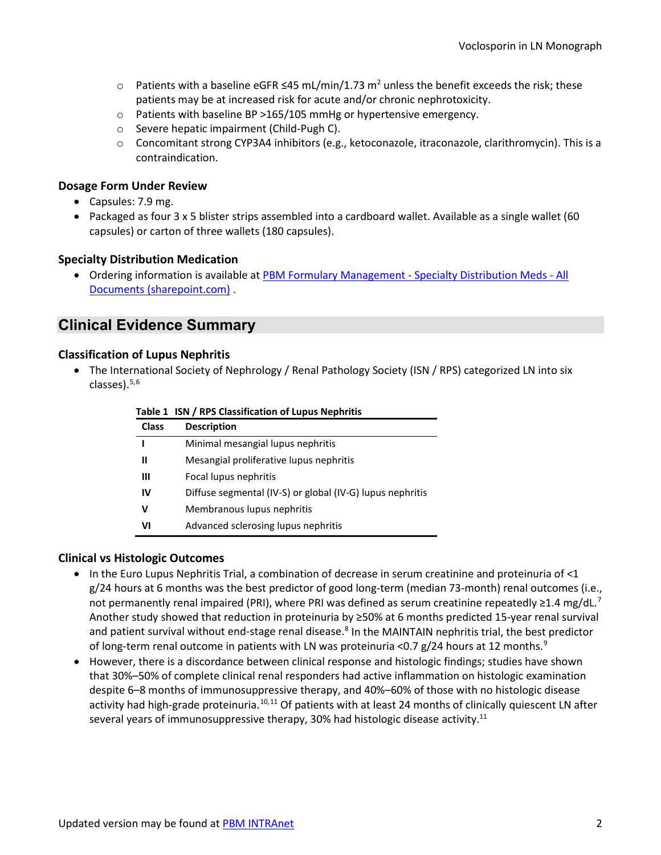- $\circ$  Patients with a baseline eGFR ≤45 mL/min/1.73 m<sup>2</sup> unless the benefit exceeds the risk; these patients may be at increased risk for acute and/or chronic nephrotoxicity.
- o Patients with baseline BP >165/105 mmHg or hypertensive emergency.
- o Severe hepatic impairment (Child-Pugh C).
- $\circ$  Concomitant strong CYP3A4 inhibitors (e.g., ketoconazole, itraconazole, clarithromycin). This is a contraindication.

#### **Dosage Form Under Review**

- Capsules: 7.9 mg.
- • Packaged as four 3 x 5 blister strips assembled into a cardboard wallet. Available as a single wallet (60 capsules) or carton of three wallets (180 capsules).

#### **Specialty Distribution Medication**

• Ordering information is available a[t PBM Formulary Management -](https://dvagov.sharepoint.com/sites/VHAPBM/Formulary/Special%20Handling%20Drugs/Forms/AllItems.aspx?sortField=TradeName&isAscending=true&viewid=75d2ed33%2D720b%2D4fba%2Da3e2%2D33912b89c665&id=%2Fsites%2FVHAPBM%2FFormulary%2FSpecial%20Handling%20Drugs) Specialty Distribution Meds - All [Documents \(sharepoint.com\)](https://dvagov.sharepoint.com/sites/VHAPBM/Formulary/Special%20Handling%20Drugs/Forms/AllItems.aspx?sortField=TradeName&isAscending=true&viewid=75d2ed33%2D720b%2D4fba%2Da3e2%2D33912b89c665&id=%2Fsites%2FVHAPBM%2FFormulary%2FSpecial%20Handling%20Drugs) .

## **Clinical Evidence Summary**

#### **Classification of Lupus Nephritis**

 • The International Society of Nephrology / Renal Pathology Society (ISN / RPS) categorized LN into six classes). $5,6$  $5,6$ 

|              | Table 1 ISN / RPS Classification of Lupus Nephritis       |
|--------------|-----------------------------------------------------------|
| <b>Class</b> | <b>Description</b>                                        |
|              | Minimal mesangial lupus nephritis                         |
| Ш            | Mesangial proliferative lupus nephritis                   |
| Ш            | Focal lupus nephritis                                     |
| IV           | Diffuse segmental (IV-S) or global (IV-G) lupus nephritis |
| v            | Membranous lupus nephritis                                |
| VI           | Advanced sclerosing lupus nephritis                       |

#### **Clinical vs Histologic Outcomes**

- • In the Euro Lupus Nephritis Trial, a combination of decrease in serum creatinine and proteinuria of <1 g/24 hours at 6 months was the best predictor of good long-term (median 73-month) renal outcomes (i.e., of long-term renal outcome in patients with LN was proteinuria <0.7 g/24 hours at 12 months.<sup>[9](#page-13-8)</sup> not permanently renal impaired (PRI), where PRI was defined as serum creatinine repeatedly ≥1.4 mg/dL.<sup>[7](#page-13-6)</sup> Another study showed that reduction in proteinuria by ≥50% at 6 months predicted 15-year renal survival and patient survival without end-stage renal disease.<sup>[8](#page-13-7)</sup> In the MAINTAIN nephritis trial, the best predictor
- <span id="page-1-0"></span> that 30%–50% of complete clinical renal responders had active inflammation on histologic examination despite 6–8 months of immunosuppressive therapy, and 40%–60% of those with no histologic disease activity had high-grade proteinuria.<sup>[10](#page-13-9),[11](#page-13-10)</sup> Of patients with at least 24 months of clinically quiescent LN after several years of immunosuppressive therapy, 30% had histologic disease activity.<sup>11</sup> • However, there is a discordance between clinical response and histologic findings; studies have shown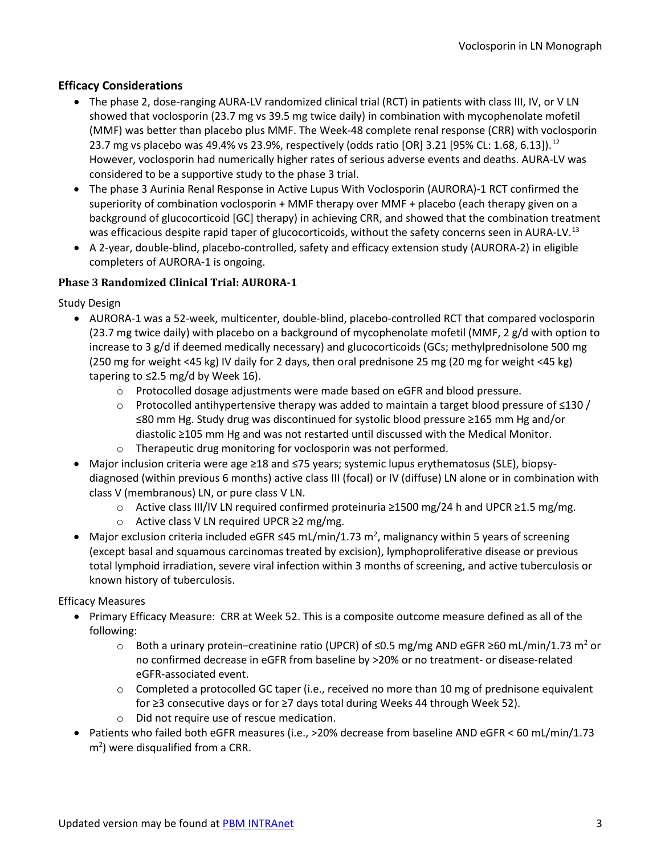### **Efficacy Considerations**

- <span id="page-2-1"></span> • The phase 2, dose-ranging AURA-LV randomized clinical trial (RCT) in patients with class III, IV, or V LN showed that voclosporin (23.7 mg vs 39.5 mg twice daily) in combination with mycophenolate mofetil 23.7 mg vs placebo was 49.4% vs 23.9%, respectively (odds ratio [OR] 3.21 [95% CL: 1.68, 6.13]).<sup>12</sup> considered to be a supportive study to the phase 3 trial. (MMF) was better than placebo plus MMF. The Week-48 complete renal response (CRR) with voclosporin However, voclosporin had numerically higher rates of serious adverse events and deaths. AURA-LV was
- • The phase 3 Aurinia Renal Response in Active Lupus With Voclosporin (AURORA)-1 RCT confirmed the superiority of combination voclosporin + MMF therapy over MMF + placebo (each therapy given on a was efficacious despite rapid taper of glucocorticoids, without the safety concerns seen in AURA-LV.<sup>13</sup> background of glucocorticoid [GC] therapy) in achieving CRR, and showed that the combination treatment
- <span id="page-2-0"></span> • A 2-year, double-blind, placebo-controlled, safety and efficacy extension study (AURORA-2) in eligible completers of AURORA-1 is ongoing.

#### **Phase 3 Randomized Clinical Trial: AURORA-1**

Study Design

- (23.7 mg twice daily) with placebo on a background of mycophenolate mofetil (MMF, 2 g/d with option to (250 mg for weight <45 kg) IV daily for 2 days, then oral prednisone 25 mg (20 mg for weight <45 kg) tapering to ≤2.5 mg/d by Week 16). • AURORA-1 was a 52-week, multicenter, double-blind, placebo-controlled RCT that compared voclosporin increase to 3 g/d if deemed medically necessary) and glucocorticoids (GCs; methylprednisolone 500 mg
	- o Protocolled dosage adjustments were made based on eGFR and blood pressure.
	- o Protocolled antihypertensive therapy was added to maintain a target blood pressure of ≤130 / ≤80 mm Hg. Study drug was discontinued for systolic blood pressure ≥165 mm Hg and/or diastolic ≥105 mm Hg and was not restarted until discussed with the Medical Monitor.
	- o Therapeutic drug monitoring for voclosporin was not performed.
- diagnosed (within previous 6 months) active class III (focal) or IV (diffuse) LN alone or in combination with class V (membranous) LN, or pure class V LN. • Major inclusion criteria were age ≥18 and ≤75 years; systemic lupus erythematosus (SLE), biopsy-
	- o Active class III/IV LN required confirmed proteinuria ≥1500 mg/24 h and UPCR ≥1.5 mg/mg.
	- o Active class V LN required UPCR ≥2 mg/mg.
- Major exclusion criteria included eGFR  $\leq$ 45 mL/min/1.73 m<sup>2</sup>, malignancy within 5 years of screening (except basal and squamous carcinomas treated by excision), lymphoproliferative disease or previous total lymphoid irradiation, severe viral infection within 3 months of screening, and active tuberculosis or known history of tuberculosis.

#### Efficacy Measures

- • Primary Efficacy Measure: CRR at Week 52. This is a composite outcome measure defined as all of the following:
	- $\circ$  Both a urinary protein–creatinine ratio (UPCR) of ≤0.5 mg/mg AND eGFR ≥60 mL/min/1.73 m<sup>2</sup> or no confirmed decrease in eGFR from baseline by >20% or no treatment- or disease-related eGFR-associated event.
	- o Completed a protocolled GC taper (i.e., received no more than 10 mg of prednisone equivalent for ≥3 consecutive days or for ≥7 days total during Weeks 44 through Week 52).
	- o Did not require use of rescue medication.
- • Patients who failed both eGFR measures (i.e., >20% decrease from baseline AND eGFR < 60 mL/min/1.73  $m<sup>2</sup>$ ) were disqualified from a CRR.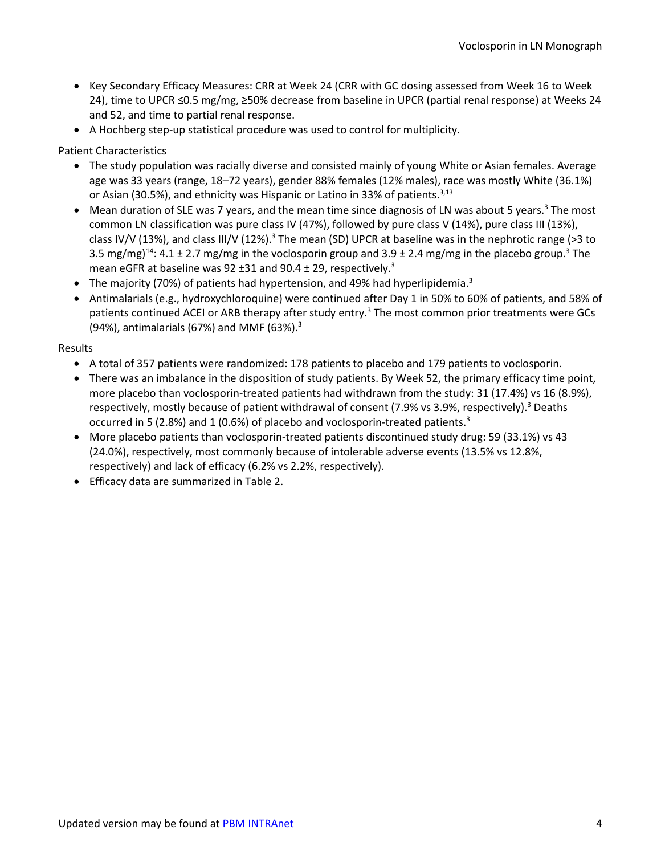- • Key Secondary Efficacy Measures: CRR at Week 24 (CRR with GC dosing assessed from Week 16 to Week 24), time to UPCR ≤0.5 mg/mg, ≥50% decrease from baseline in UPCR (partial renal response) at Weeks 24 and 52, and time to partial renal response.
- A Hochberg step-up statistical procedure was used to control for multiplicity.

Patient Characteristics

- or Asian (30.5%), and ethnicity was Hispanic or Latino in 33% of patients.<sup>[3,](#page-0-0)13</sup> • The study population was racially diverse and consisted mainly of young White or Asian females. Average age was 33 years (range, 18–72 years), gender 88% females (12% males), race was mostly White (36.1%)
- Mean duration of SLE was 7 years, and the mean time since diagnosis of LN was about 5 years.<sup>3</sup> The most common LN classification was pure class IV (47%), followed by pure class V (14%), pure class III (13%), class IV/V (13%), and class III/V (12%).<sup>3</sup> The mean (SD) UPCR at baseline was in the nephrotic range (>3 to 3.5 mg/mg)<sup>[14](#page-13-13)</sup>: 4.1 ± 2.7 mg/mg in the voclosporin group and 3.9 ± 2.4 mg/mg in the placebo group.<sup>3</sup> The mean eGFR at baseline was 92  $\pm$ 31 and 90.4  $\pm$  29, respectively.<sup>3</sup>
- The majority (70%) of patients had hypertension, and 49% had hyperlipidemia.<sup>3</sup>
- • Antimalarials (e.g., hydroxychloroquine) were continued after Day 1 in 50% to 60% of patients, and 58% of (94%), antimalarials (67%) and MMF (63%).<sup>3</sup> patients continued ACEI or ARB therapy after study entry.<sup>3</sup> The most common prior treatments were GCs

#### Results

- A total of 357 patients were randomized: 178 patients to placebo and 179 patients to voclosporin.
- • There was an imbalance in the disposition of study patients. By Week 52, the primary efficacy time point, more placebo than voclosporin-treated patients had withdrawn from the study: 31 (17.4%) vs 16 (8.9%), respectively, mostly because of patient withdrawal of consent (7.9% vs 3.9%, respectively).<sup>3</sup> Deaths occurred in 5 (2.8%) and 1 (0.6%) of placebo and voclosporin-treated patients.<sup>3</sup>
- (24.0%), respectively, most commonly because of intolerable adverse events (13.5% vs 12.8%, respectively) and lack of efficacy (6.2% vs 2.2%, respectively). • More placebo patients than voclosporin-treated patients discontinued study drug: 59 (33.1%) vs 43
- Efficacy data are summarized in [Table 2.](#page-4-0)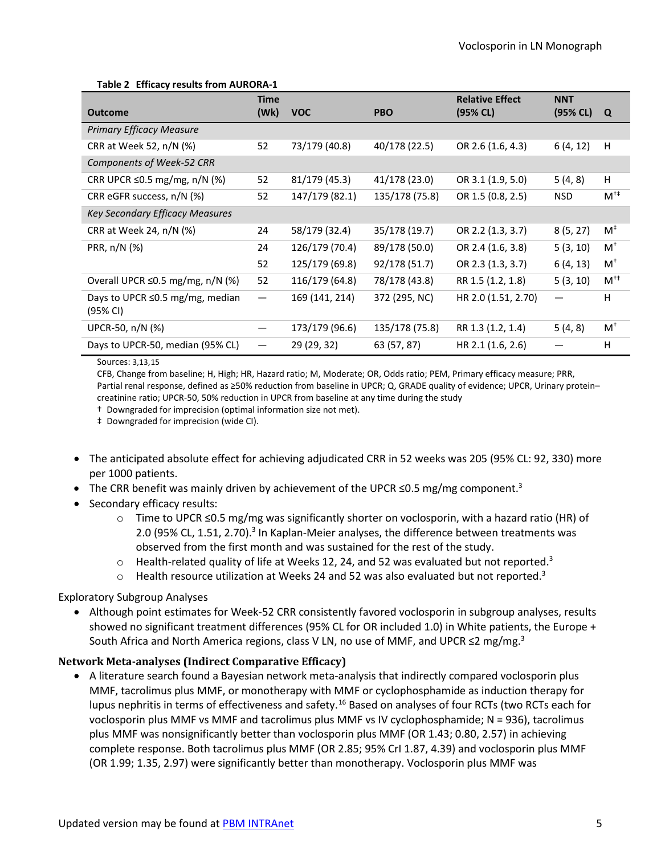#### **Table 2 Efficacy results from AURORA-1**

<span id="page-4-0"></span>

|                                             | <b>Time</b>                    |                |                | <b>Relative Effect</b> | <b>NNT</b> |                        |
|---------------------------------------------|--------------------------------|----------------|----------------|------------------------|------------|------------------------|
| <b>Outcome</b>                              | (Wk)                           | <b>VOC</b>     | <b>PBO</b>     | (95% CL)               | (95% CL)   | Q                      |
| <b>Primary Efficacy Measure</b>             |                                |                |                |                        |            |                        |
| CRR at Week 52, n/N (%)                     | 52                             | 73/179 (40.8)  | 40/178 (22.5)  | OR 2.6 (1.6, 4.3)      | 6(4, 12)   | Н                      |
| Components of Week-52 CRR                   |                                |                |                |                        |            |                        |
| CRR UPCR $\leq$ 0.5 mg/mg, n/N (%)          | 52                             | 81/179 (45.3)  | 41/178 (23.0)  | OR 3.1 (1.9, 5.0)      | 5(4, 8)    | H                      |
| CRR eGFR success, n/N (%)                   | 52                             | 147/179 (82.1) | 135/178 (75.8) | OR 1.5 (0.8, 2.5)      | <b>NSD</b> | $M^{\dagger \ddagger}$ |
| Key Secondary Efficacy Measures             |                                |                |                |                        |            |                        |
| CRR at Week 24, n/N (%)                     | 24                             | 58/179 (32.4)  | 35/178 (19.7)  | OR 2.2 (1.3, 3.7)      | 8(5, 27)   | $M^{\ddagger}$         |
| PRR, n/N (%)                                | 24                             | 126/179 (70.4) | 89/178 (50.0)  | OR 2.4 (1.6, 3.8)      | 5(3, 10)   | $M^+$                  |
|                                             | 52                             | 125/179 (69.8) | 92/178 (51.7)  | OR 2.3 (1.3, 3.7)      | 6(4, 13)   | $M^+$                  |
| Overall UPCR ≤0.5 mg/mg, n/N (%)            | 52                             | 116/179 (64.8) | 78/178 (43.8)  | RR 1.5 (1.2, 1.8)      | 5(3, 10)   | $M^{\dagger \ddagger}$ |
| Days to UPCR ≤0.5 mg/mg, median<br>(95% CI) |                                | 169 (141, 214) | 372 (295, NC)  | HR 2.0 (1.51, 2.70)    |            | H                      |
| UPCR-50, n/N (%)                            | $\qquad \qquad \longleftarrow$ | 173/179 (96.6) | 135/178 (75.8) | RR 1.3 (1.2, 1.4)      | 5(4, 8)    | $M^+$                  |
| Days to UPCR-50, median (95% CL)            |                                | 29 (29, 32)    | 63 (57, 87)    | HR 2.1 (1.6, 2.6)      |            | H                      |

#### Sources: [3,](#page-0-0)[13,](#page-2-0)[15](#page-13-14)

 CFB, Change from baseline; H, High; HR, Hazard ratio; M, Moderate; OR, Odds ratio; PEM, Primary efficacy measure; PRR, Partial renal response, defined as ≥50% reduction from baseline in UPCR; Q, GRADE quality of evidence; UPCR, Urinary protein– creatinine ratio; UPCR-50, 50% reduction in UPCR from baseline at any time during the study

† Downgraded for imprecision (optimal information size not met).

‡ Downgraded for imprecision (wide CI).

- • The anticipated absolute effect for achieving adjudicated CRR in 52 weeks was 205 (95% CL: 92, 330) more per 1000 patients.
- The CRR benefit was mainly driven by achievement of the UPCR  $\leq$ 0.5 mg/mg component.<sup>3</sup>
- Secondary efficacy results:
	- o Time to UPCR ≤0.5 mg/mg was significantly shorter on voclosporin, with a hazard ratio (HR) of 2.0 (95% CL, 1.51, 2.70).<sup>3</sup> In Kaplan-Meier analyses, the difference between treatments was observed from the first month and was sustained for the rest of the study.
	- $\circ$  Health-related quality of life at Weeks 12, 24, and 52 was evaluated but not reported.<sup>3</sup>
	- $\circ$  Health resource utilization at Weeks 24 and 52 was also evaluated but not reported.<sup>3</sup>

#### Exploratory Subgroup Analyses

 • Although point estimates for Week-52 CRR consistently favored voclosporin in subgroup analyses, results South Africa and North America regions, class V LN, no use of MMF, and UPCR  $\leq$ 2 mg/mg.<sup>3</sup> showed no significant treatment differences (95% CL for OR included 1.0) in White patients, the Europe +

#### **Network Meta-analyses (Indirect Comparative Efficacy)**

 MMF, tacrolimus plus MMF, or monotherapy with MMF or cyclophosphamide as induction therapy for lupus nephritis in terms of effectiveness and safety.<sup>16</sup> Based on analyses of four RCTs (two RCTs each for voclosporin plus MMF vs MMF and tacrolimus plus MMF vs IV cyclophosphamide; N = 936), tacrolimus complete response. Both tacrolimus plus MMF (OR 2.85; 95% CrI 1.87, 4.39) and voclosporin plus MMF (OR 1.99; 1.35, 2.97) were significantly better than monotherapy. Voclosporin plus MMF was • A literature search found a Bayesian network meta-analysis that indirectly compared voclosporin plus plus MMF was nonsignificantly better than voclosporin plus MMF (OR 1.43; 0.80, 2.57) in achieving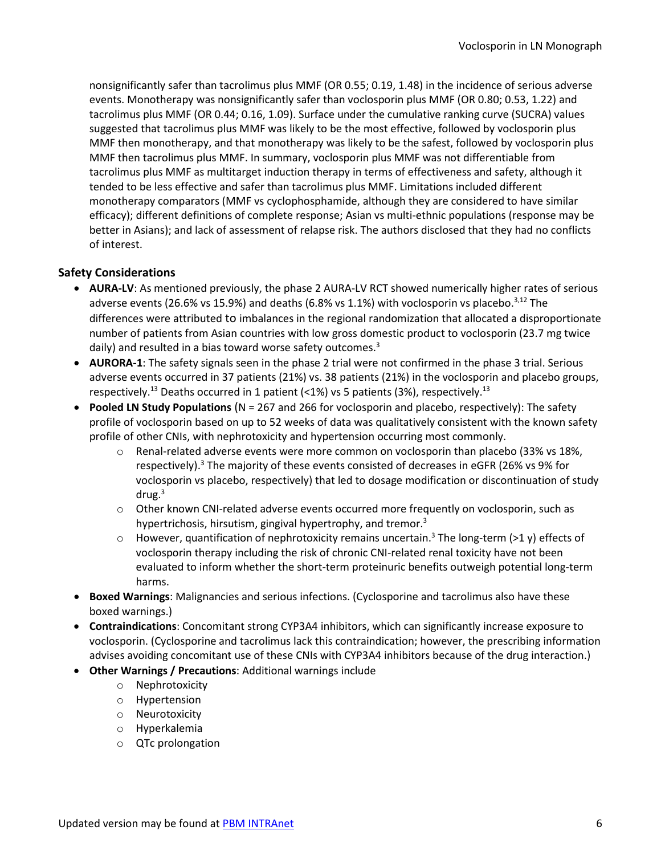nonsignificantly safer than tacrolimus plus MMF (OR 0.55; 0.19, 1.48) in the incidence of serious adverse events. Monotherapy was nonsignificantly safer than voclosporin plus MMF (OR 0.80; 0.53, 1.22) and tacrolimus plus MMF (OR 0.44; 0.16, 1.09). Surface under the cumulative ranking curve (SUCRA) values suggested that tacrolimus plus MMF was likely to be the most effective, followed by voclosporin plus MMF then monotherapy, and that monotherapy was likely to be the safest, followed by voclosporin plus MMF then tacrolimus plus MMF. In summary, voclosporin plus MMF was not differentiable from tacrolimus plus MMF as multitarget induction therapy in terms of effectiveness and safety, although it tended to be less effective and safer than tacrolimus plus MMF. Limitations included different efficacy); different definitions of complete response; Asian vs multi-ethnic populations (response may be monotherapy comparators (MMF vs cyclophosphamide, although they are considered to have similar better in Asians); and lack of assessment of relapse risk. The authors disclosed that they had no conflicts of interest.

#### **Safety Considerations**

- • **AURA-LV**: As mentioned previously, the phase 2 AURA-LV RCT showed numerically higher rates of serious adverse events (26.6% vs 15.9%) and deaths (6.8% vs 1.1%) with voclosporin vs placebo. $3,12$  The daily) and resulted in a bias toward worse safety outcomes.<sup>3</sup> differences were attributed to imbalances in the regional randomization that allocated a disproportionate number of patients from Asian countries with low gross domestic product to voclosporin (23.7 mg twice
- • **AURORA-1**: The safety signals seen in the phase 2 trial were not confirmed in the phase 3 trial. Serious respectively.<sup>13</sup> Deaths occurred in 1 patient (<1%) vs 5 patients (3%), respectively.<sup>13</sup> adverse events occurred in 37 patients (21%) vs. 38 patients (21%) in the voclosporin and placebo groups,
- profile of voclosporin based on up to 52 weeks of data was qualitatively consistent with the known safety • **Pooled LN Study Populations** (N = 267 and 266 for voclosporin and placebo, respectively): The safety profile of other CNIs, with nephrotoxicity and hypertension occurring most commonly.
	- respectively).<sup>3</sup> The majority of these events consisted of decreases in eGFR (26% vs 9% for voclosporin vs placebo, respectively) that led to dosage modification or discontinuation of study drug.<sup>3</sup> o Renal-related adverse events were more common on voclosporin than placebo (33% vs 18%,
	- $\circ$  Other known CNI-related adverse events occurred more frequently on voclosporin, such as hypertrichosis, hirsutism, gingival hypertrophy, and tremor.<sup>3</sup>
	- $\circ$  However, quantification of nephrotoxicity remains uncertain.<sup>3</sup> The long-term (>1 y) effects of voclosporin therapy including the risk of chronic CNI-related renal toxicity have not been evaluated to inform whether the short-term proteinuric benefits outweigh potential long-term harms.
- **Boxed Warnings**: Malignancies and serious infections. (Cyclosporine and tacrolimus also have these boxed warnings.)
- • **Contraindications**: Concomitant strong CYP3A4 inhibitors, which can significantly increase exposure to voclosporin. (Cyclosporine and tacrolimus lack this contraindication; however, the prescribing information advises avoiding concomitant use of these CNIs with CYP3A4 inhibitors because of the drug interaction.)
- • **Other Warnings / Precautions**: Additional warnings include
	- o Nephrotoxicity
	- o Hypertension
	- o Neurotoxicity
	- o Hyperkalemia
	- o QTc prolongation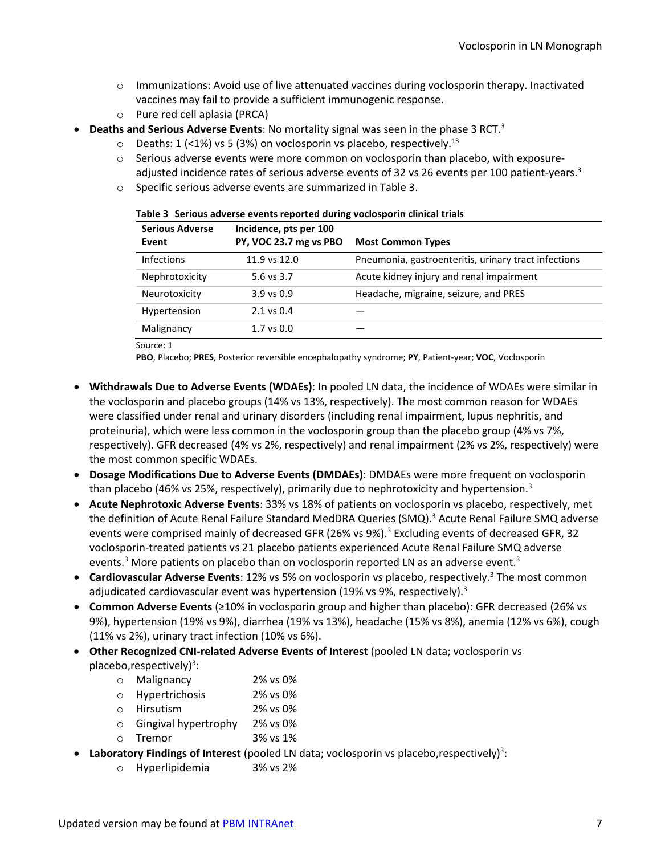- o Immunizations: Avoid use of live attenuated vaccines during voclosporin therapy. Inactivated vaccines may fail to provide a sufficient immunogenic response.
- o Pure red cell aplasia (PRCA)
- <span id="page-6-0"></span> • **Deaths and Serious Adverse Events**: No mortality signal was seen in the phase 3 RCT[.3](#page-0-0) 
	- $\circ$  Deaths: 1 (<1%) vs 5 (3%) on voclosporin vs placebo, respectively.<sup>13</sup>
	- adjusted incidence rates of serious adverse events of 32 vs 26 events per 100 patient-years.<sup>3</sup>  $\circ$  Serious adverse events were more common on voclosporin than placebo, with exposure-
	- $\circ$  Specific serious adverse events are summarized in [Table 3.](#page-6-0)

| <b>Serious Adverse</b> | Incidence, pts per 100 |                                                      |
|------------------------|------------------------|------------------------------------------------------|
| Event                  | PY, VOC 23.7 mg vs PBO | <b>Most Common Types</b>                             |
| <b>Infections</b>      | 11.9 vs 12.0           | Pneumonia, gastroenteritis, urinary tract infections |
| Nephrotoxicity         | 5.6 vs 3.7             | Acute kidney injury and renal impairment             |
| Neurotoxicity          | $3.9$ vs $0.9$         | Headache, migraine, seizure, and PRES                |
| Hypertension           | $2.1$ vs $0.4$         |                                                      |
| Malignancy             | $1.7$ vs $0.0$         |                                                      |

| Table 3 Serious adverse events reported during voclosporin clinical trials |  |  |  |
|----------------------------------------------------------------------------|--|--|--|
|                                                                            |  |  |  |

Source[: 1](#page-0-1) 

**PBO**, Placebo; **PRES**, Posterior reversible encephalopathy syndrome; **PY**, Patient-year; **VOC**, Voclosporin

- proteinuria), which were less common in the voclosporin group than the placebo group (4% vs 7%, • **Withdrawals Due to Adverse Events (WDAEs)**: In pooled LN data, the incidence of WDAEs were similar in the voclosporin and placebo groups (14% vs 13%, respectively). The most common reason for WDAEs were classified under renal and urinary disorders (including renal impairment, lupus nephritis, and respectively). GFR decreased (4% vs 2%, respectively) and renal impairment (2% vs 2%, respectively) were the most common specific WDAEs.
- **Dosage Modifications Due to Adverse Events (DMDAEs)**: DMDAEs were more frequent on voclosporin than placebo (46% vs 25%, respectively), primarily due to nephrotoxicity and hypertension.<sup>3</sup>
- • **Acute Nephrotoxic Adverse Events**: 33% vs 18% of patients on voclosporin vs placebo, respectively, met the definition of Acute Renal Failure Standard MedDRA Queries (SMQ).<sup>3</sup> Acute Renal Failure SMQ adverse events.<sup>3</sup> More patients on placebo than on voclosporin reported LN as an adverse event.<sup>3</sup> events were comprised mainly of decreased GFR (26% vs 9%).[3](#page-0-0) Excluding events of decreased GFR, 32 voclosporin-treated patients vs 21 placebo patients experienced Acute Renal Failure SMQ adverse
- **Cardiovascular Adverse Events**: 12% vs 5% on voclosporin vs placebo, respectively.<sup>3</sup> The most common adjudicated cardiovascular event was hypertension (19% vs 9%, respectively).<sup>3</sup>
- • **Common Adverse Events** (≥10% in voclosporin group and higher than placebo): GFR decreased (26% vs 9%), hypertension (19% vs 9%), diarrhea (19% vs 13%), headache (15% vs 8%), anemia (12% vs 6%), cough (11% vs 2%), urinary tract infection (10% vs 6%).
- **Other Recognized CNI-related Adverse Events of Interest** (pooled LN data; voclosporin vs placebo, respectively)<sup>3</sup>[:](#page-0-0)
	- o Malignancy 2% vs 0%
	- o Hypertrichosis 2% vs 0%
	- o Hirsutism 2% vs 0%
	- o Gingival hypertrophy 2% vs 0%
	- o Tremor 3% vs 1%
- Laboratory Findings of Interest (pooled LN data; voclosporin vs placebo, respectively)<sup>3</sup>:
	- o Hyperlipidemia 3% vs 2%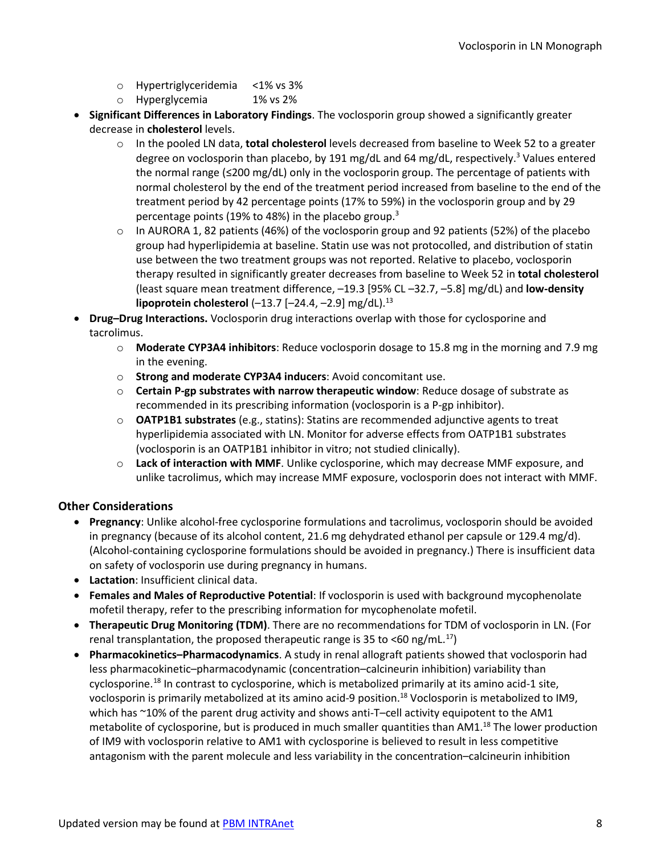- o Hypertriglyceridemia <1% vs 3%
- o Hyperglycemia 1% vs 2%
- decrease in **cholesterol** levels. • **Significant Differences in Laboratory Findings**. The voclosporin group showed a significantly greater
	- o In the pooled LN data, **total cholesterol** levels decreased from baseline to Week 52 to a greater degree on voclosporin than placebo, by 191 mg/dL and 64 mg/dL, respectively.<sup>3</sup> Values entered the normal range (≤200 mg/dL) only in the voclosporin group. The percentage of patients with percentage points (19% to 48%) in the placebo group.<sup>3</sup> normal cholesterol by the end of the treatment period increased from baseline to the end of the treatment period by 42 percentage points (17% to 59%) in the voclosporin group and by 29
	- o In AURORA 1, 82 patients (46%) of the voclosporin group and 92 patients (52%) of the placebo use between the two treatment groups was not reported. Relative to placebo, voclosporin (least square mean treatment difference, –19.3 [95% CL –32.7, –5.8] mg/dL) and **low-density**  group had hyperlipidemia at baseline. Statin use was not protocolled, and distribution of statin therapy resulted in significantly greater decreases from baseline to Week 52 in **total cholesterol lipoprotein cholesterol** (-13.7 [-24.4, -2.9] mg/dL).<sup>13</sup>
- **Drug–Drug Interactions.** Voclosporin drug interactions overlap with those for cyclosporine and tacrolimus.
	- o **Moderate CYP3A4 inhibitors**: Reduce voclosporin dosage to 15.8 mg in the morning and 7.9 mg in the evening.
	- o **Strong and moderate CYP3A4 inducers**: Avoid concomitant use.
	- o **Certain P-gp substrates with narrow therapeutic window**: Reduce dosage of substrate as recommended in its prescribing information (voclosporin is a P-gp inhibitor).
	- o **OATP1B1 substrates** (e.g., statins): Statins are recommended adjunctive agents to treat (voclosporin is an OATP1B1 inhibitor in vitro; not studied clinically). hyperlipidemia associated with LN. Monitor for adverse effects from OATP1B1 substrates
	- o **Lack of interaction with MMF**. Unlike cyclosporine, which may decrease MMF exposure, and unlike tacrolimus, which may increase MMF exposure, voclosporin does not interact with MMF.

#### **Other Considerations**

- • **Pregnancy**: Unlike alcohol-free cyclosporine formulations and tacrolimus, voclosporin should be avoided in pregnancy (because of its alcohol content, 21.6 mg dehydrated ethanol per capsule or 129.4 mg/d). on safety of voclosporin use during pregnancy in humans. (Alcohol-containing cyclosporine formulations should be avoided in pregnancy.) There is insufficient data
- **Lactation**: Insufficient clinical data.
- **Females and Males of Reproductive Potential**: If voclosporin is used with background mycophenolate mofetil therapy, refer to the prescribing information for mycophenolate mofetil.
- **Therapeutic Drug Monitoring (TDM)**. There are no recommendations for TDM of voclosporin in LN. (For renal transplantation, the proposed therapeutic range is 35 to <60 ng/mL.<sup>[17](#page-13-16)</sup>)
- <span id="page-7-0"></span>cyclosporine.<sup>[18](#page-13-17)</sup> In contrast to cyclosporine, which is metabolized primarily at its amino acid-1 site, voclosporin is primarily metabolized at its amino acid-9 position.<sup>18</sup> Voclosporin is metabolized to IM9, of IM9 with voclosporin relative to AM1 with cyclosporine is believed to result in less competitive • **Pharmacokinetics–Pharmacodynamics**. A study in renal allograft patients showed that voclosporin had less pharmacokinetic–pharmacodynamic (concentration–calcineurin inhibition) variability than which has ~10% of the parent drug activity and shows anti-T-cell activity equipotent to the AM1 metabolite of cyclosporine, but is produced in much smaller quantities than AM1.<sup>18</sup> The lower production antagonism with the parent molecule and less variability in the concentration–calcineurin inhibition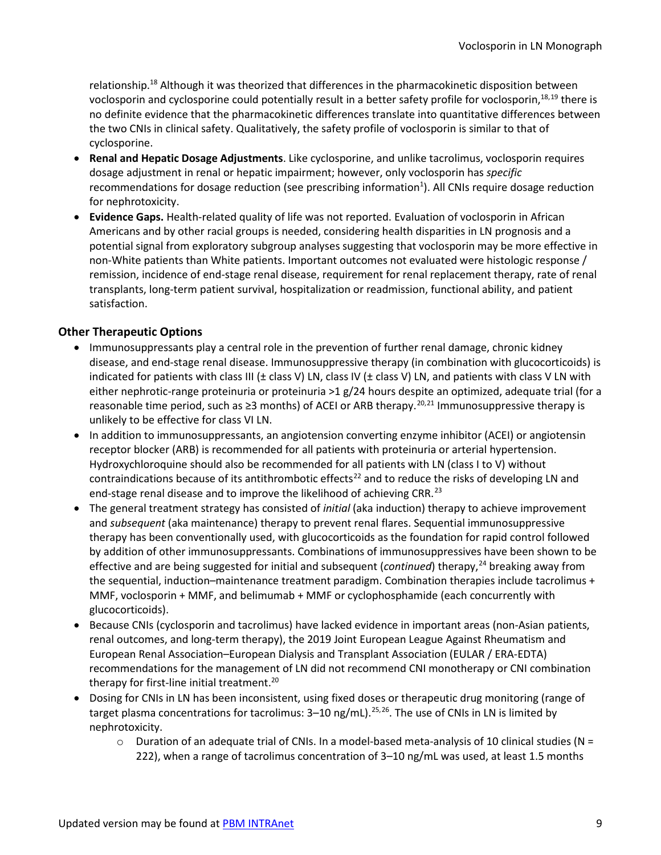voclosporin and cyclosporine could potentially result in a better safety profile for voclosporin,<sup>[18,](#page-7-0)[19](#page-14-0)</sup> there is the two CNIs in clinical safety. Qualitatively, the safety profile of voclosporin is similar to that of relationship.<sup>18</sup> Although it was theorized that differences in the pharmacokinetic disposition between no definite evidence that the pharmacokinetic differences translate into quantitative differences between cyclosporine.

- for nephrotoxicity. • **Renal and Hepatic Dosage Adjustments**. Like cyclosporine, and unlike tacrolimus, voclosporin requires dosage adjustment in renal or hepatic impairment; however, only voclosporin has *specific*  recommendations for dosage reduction (see prescribing information<sup>1</sup>). All CNIs require dosage reduction
- • **Evidence Gaps.** Health-related quality of life was not reported. Evaluation of voclosporin in African potential signal from exploratory subgroup analyses suggesting that voclosporin may be more effective in Americans and by other racial groups is needed, considering health disparities in LN prognosis and a non-White patients than White patients. Important outcomes not evaluated were histologic response / remission, incidence of end-stage renal disease, requirement for renal replacement therapy, rate of renal transplants, long-term patient survival, hospitalization or readmission, functional ability, and patient satisfaction.

#### **Other Therapeutic Options**

- indicated for patients with class III ( $\pm$  class V) LN, class IV ( $\pm$  class V) LN, and patients with class V LN with either nephrotic-range proteinuria or proteinuria >1 g/24 hours despite an optimized, adequate trial (for a reasonable time period, such as  $\geq$ 3 months) of ACEI or ARB therapy.<sup>[20](#page-14-1),[21](#page-14-2)</sup> Immunosuppressive therapy is • Immunosuppressants play a central role in the prevention of further renal damage, chronic kidney disease, and end-stage renal disease. Immunosuppressive therapy (in combination with glucocorticoids) is unlikely to be effective for class VI LN.
- <span id="page-8-2"></span><span id="page-8-0"></span> Hydroxychloroquine should also be recommended for all patients with LN (class I to V) without • In addition to immunosuppressants, an angiotension converting enzyme inhibitor (ACEI) or angiotensin receptor blocker (ARB) is recommended for all patients with proteinuria or arterial hypertension. contraindications because of its antithrombotic effects<sup>22</sup> and to reduce the risks of developing LN and end-stage renal disease and to improve the likelihood of achieving CRR.<sup>23</sup>
- <span id="page-8-3"></span> • The general treatment strategy has consisted of *initial* (aka induction) therapy to achieve improvement and *subsequent* (aka maintenance) therapy to prevent renal flares. Sequential immunosuppressive the sequential, induction–maintenance treatment paradigm. Combination therapies include tacrolimus + MMF, voclosporin + MMF, and belimumab + MMF or cyclophosphamide (each concurrently with glucocorticoids). therapy has been conventionally used, with glucocorticoids as the foundation for rapid control followed by addition of other immunosuppressants. Combinations of immunosuppressives have been shown to be effective and are being suggested for initial and subsequent (*continued*) therapy, [24](#page-14-5) breaking away from
- • Because CNIs (cyclosporin and tacrolimus) have lacked evidence in important areas (non-Asian patients, European Renal Association–European Dialysis and Transplant Association (EULAR / ERA-EDTA) recommendations for the management of LN did not recommend CNI monotherapy or CNI combination therapy for first-line initial treatment.<sup>[20](#page-8-0)</sup> renal outcomes, and long-term therapy), the 2019 Joint European League Against Rheumatism and
- <span id="page-8-1"></span>target plasma concentrations for tacrolimus: 3–10 ng/mL).<sup>25,26</sup>. The use of CNIs in LN is limited by • Dosing for CNIs in LN has been inconsistent, using fixed doses or therapeutic drug monitoring (range of nephrotoxicity.
	- $\circ$  Duration of an adequate trial of CNIs. In a model-based meta-analysis of 10 clinical studies (N = 222), when a range of tacrolimus concentration of 3–10 ng/mL was used, at least 1.5 months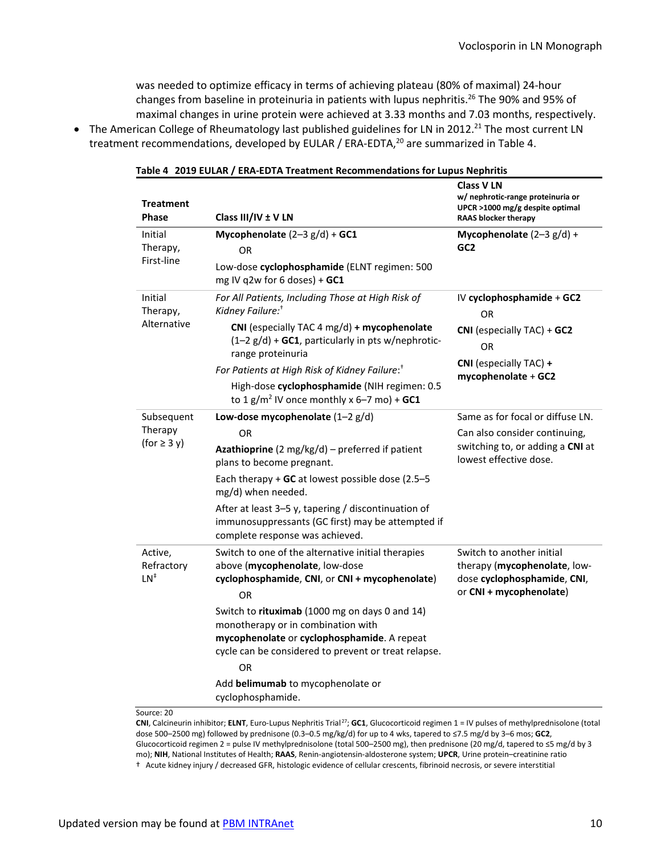was needed to optimize efficacy in terms of achieving plateau (80% of maximal) 24-hour changes from baseline in proteinuria in patients with lupus nephritis.<sup>26</sup> The 90% and 95% of maximal changes in urine protein were achieved at 3.33 months and 7.03 months, respectively.

<span id="page-9-0"></span>treatment recommendations, developed by EULAR / ERA-EDTA,<sup>[20](#page-8-0)</sup> are summarized in [Table 4.](#page-9-0) • The American College of Rheumatology last published guidelines for LN in 2012.<sup>21</sup> The most current LN

| <b>Treatment</b><br><b>Phase</b>  | Class III/IV ± V LN                                                                                                                                                                         | <br>Class V LN<br>w/ nephrotic-range proteinuria or<br>UPCR >1000 mg/g despite optimal<br><b>RAAS blocker therapy</b> |  |
|-----------------------------------|---------------------------------------------------------------------------------------------------------------------------------------------------------------------------------------------|-----------------------------------------------------------------------------------------------------------------------|--|
| Initial<br>Therapy,<br>First-line | Mycophenolate $(2-3 g/d) +$ GC1<br><b>OR</b>                                                                                                                                                | Mycophenolate $(2-3 g/d) +$<br>GC <sub>2</sub>                                                                        |  |
|                                   | Low-dose cyclophosphamide (ELNT regimen: 500<br>mg IV q2w for 6 doses) + GC1                                                                                                                |                                                                                                                       |  |
| Initial<br>Therapy,               | For All Patients, Including Those at High Risk of<br>Kidney Failure: <sup>†</sup>                                                                                                           | IV cyclophosphamide + GC2<br>OR                                                                                       |  |
| Alternative                       | CNI (especially TAC 4 mg/d) + mycophenolate<br>$(1-2 g/d)$ + GC1, particularly in pts w/nephrotic-<br>range proteinuria                                                                     | CNI (especially TAC) + GC2<br>OR                                                                                      |  |
|                                   | For Patients at High Risk of Kidney Failure: <sup>†</sup>                                                                                                                                   | CNI (especially TAC) +<br>mycophenolate + GC2                                                                         |  |
|                                   | High-dose cyclophosphamide (NIH regimen: 0.5<br>to 1 g/m <sup>2</sup> IV once monthly x 6-7 mo) + GC1                                                                                       |                                                                                                                       |  |
| Subsequent                        | Low-dose mycophenolate $(1-2 g/d)$                                                                                                                                                          | Same as for focal or diffuse LN.                                                                                      |  |
| Therapy<br>(for $\geq$ 3 y)       | <b>OR</b><br><b>Azathioprine</b> (2 mg/kg/d) – preferred if patient<br>plans to become pregnant.                                                                                            | Can also consider continuing,<br>switching to, or adding a CNI at<br>lowest effective dose.                           |  |
|                                   | Each therapy $+$ GC at lowest possible dose (2.5-5<br>mg/d) when needed.                                                                                                                    |                                                                                                                       |  |
|                                   | After at least 3-5 y, tapering / discontinuation of<br>immunosuppressants (GC first) may be attempted if<br>complete response was achieved.                                                 |                                                                                                                       |  |
| Active,<br>Refractory<br>$LN^*$   | Switch to one of the alternative initial therapies<br>above (mycophenolate, low-dose<br>cyclophosphamide, CNI, or CNI + mycophenolate)<br>OR                                                | Switch to another initial<br>therapy (mycophenolate, low-<br>dose cyclophosphamide, CNI,<br>or CNI + mycophenolate)   |  |
|                                   | Switch to rituximab (1000 mg on days 0 and 14)<br>monotherapy or in combination with<br>mycophenolate or cyclophosphamide. A repeat<br>cycle can be considered to prevent or treat relapse. |                                                                                                                       |  |
|                                   | OR<br>Add belimumab to mycophenolate or<br>cyclophosphamide.                                                                                                                                |                                                                                                                       |  |

**Table 4 2019 EULAR / ERA-EDTA Treatment Recommendations for Lupus Nephritis** 

Source: [20](#page-8-0)

 **CNI**, Calcineurin inhibitor; **ELNT**, Euro-Lupus Nephritis Trial[27;](#page-14-8) **GC1**, Glucocorticoid regimen 1 = IV pulses of methylprednisolone (total dose 500–2500 mg) followed by prednisone (0.3–0.5 mg/kg/d) for up to 4 wks, tapered to ≤7.5 mg/d by 3–6 mos; **GC2**, Glucocorticoid regimen 2 = pulse IV methylprednisolone (total 500–2500 mg), then prednisone (20 mg/d, tapered to ≤5 mg/d by 3 mo); **NIH**, National Institutes of Health; **RAAS**, Renin-angiotensin-aldosterone system; **UPCR**, Urine protein–creatinine ratio † Acute kidney injury / decreased GFR, histologic evidence of cellular crescents, fibrinoid necrosis, or severe interstitial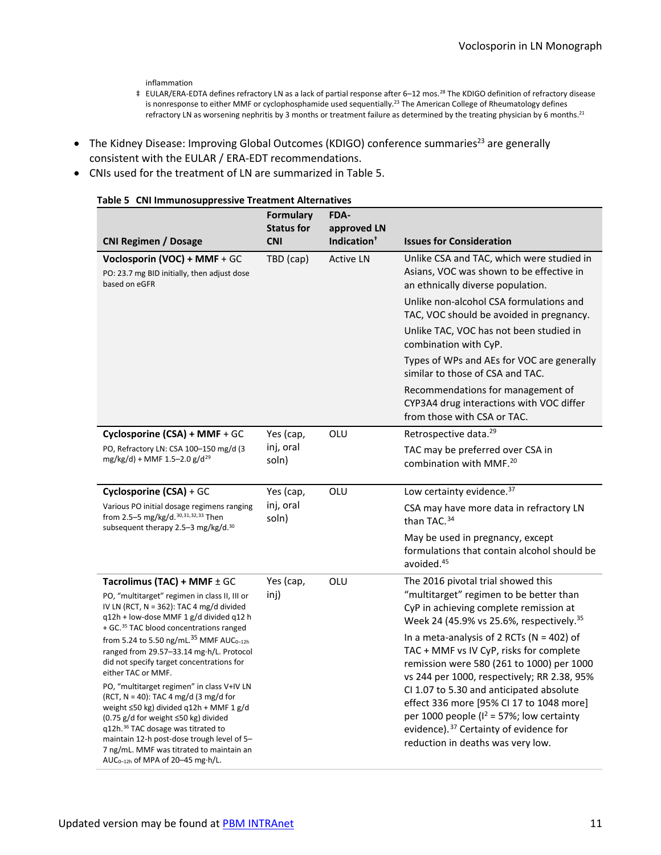inflammation

- ‡ EULAR/ERA-EDTA defines refractory LN as a lack of partial response after 6–12 mos. [28](#page-14-9) The KDIGO definition of refractory disease is nonresponse to either MMF or cyclophosphamide used sequentially.<sup>23</sup> The American College of Rheumatology defines refractory LN as worsening nephritis by 3 months or treatment failure as determined by the treating physician by 6 month[s.21](#page-8-2)
- The Kidney Disease: Improving Global Outcomes (KDIGO) conference summaries<sup>23</sup> are generally consistent with the EULAR / ERA-EDT recommendations.
- <span id="page-10-0"></span>• CNIs used for the treatment of LN are summarized in [Table](#page-10-0) 5.

<span id="page-10-5"></span><span id="page-10-4"></span><span id="page-10-3"></span><span id="page-10-2"></span><span id="page-10-1"></span>

| Table 5   CNI Immunosuppressive Treatment Alternatives                                                                                                                                                                                                                                                                                                                | <b>Formulary</b>   | FDA-                    |                                                                                                                                                                                                                                 |
|-----------------------------------------------------------------------------------------------------------------------------------------------------------------------------------------------------------------------------------------------------------------------------------------------------------------------------------------------------------------------|--------------------|-------------------------|---------------------------------------------------------------------------------------------------------------------------------------------------------------------------------------------------------------------------------|
|                                                                                                                                                                                                                                                                                                                                                                       | <b>Status for</b>  | approved LN             |                                                                                                                                                                                                                                 |
| <b>CNI Regimen / Dosage</b>                                                                                                                                                                                                                                                                                                                                           | <b>CNI</b>         | Indication <sup>+</sup> | <b>Issues for Consideration</b>                                                                                                                                                                                                 |
| Voclosporin (VOC) + MMF + GC<br>PO: 23.7 mg BID initially, then adjust dose<br>based on eGFR                                                                                                                                                                                                                                                                          | TBD (cap)          | <b>Active LN</b>        | Unlike CSA and TAC, which were studied in<br>Asians, VOC was shown to be effective in<br>an ethnically diverse population.                                                                                                      |
|                                                                                                                                                                                                                                                                                                                                                                       |                    |                         | Unlike non-alcohol CSA formulations and<br>TAC, VOC should be avoided in pregnancy.                                                                                                                                             |
|                                                                                                                                                                                                                                                                                                                                                                       |                    |                         | Unlike TAC, VOC has not been studied in<br>combination with CyP.                                                                                                                                                                |
|                                                                                                                                                                                                                                                                                                                                                                       |                    |                         | Types of WPs and AEs for VOC are generally<br>similar to those of CSA and TAC.                                                                                                                                                  |
|                                                                                                                                                                                                                                                                                                                                                                       |                    |                         | Recommendations for management of<br>CYP3A4 drug interactions with VOC differ<br>from those with CSA or TAC.                                                                                                                    |
| Cyclosporine (CSA) + MMF + GC                                                                                                                                                                                                                                                                                                                                         | Yes (cap,          | OLU                     | Retrospective data. <sup>29</sup>                                                                                                                                                                                               |
| PO, Refractory LN: CSA 100-150 mg/d (3<br>mg/kg/d) + MMF 1.5-2.0 g/d <sup>29</sup>                                                                                                                                                                                                                                                                                    | inj, oral<br>soln) |                         | TAC may be preferred over CSA in<br>combination with MMF. <sup>20</sup>                                                                                                                                                         |
| Cyclosporine (CSA) + GC                                                                                                                                                                                                                                                                                                                                               | Yes (cap,          | OLU                     | Low certainty evidence. 37                                                                                                                                                                                                      |
| Various PO initial dosage regimens ranging<br>from 2.5-5 mg/kg/d. 30, 31, 32, 33 Then<br>subsequent therapy 2.5-3 mg/kg/d. <sup>30</sup>                                                                                                                                                                                                                              | inj, oral<br>soln) |                         | CSA may have more data in refractory LN<br>than TAC. <sup>34</sup>                                                                                                                                                              |
|                                                                                                                                                                                                                                                                                                                                                                       |                    |                         | May be used in pregnancy, except<br>formulations that contain alcohol should be<br>avoided. <sup>45</sup>                                                                                                                       |
| Tacrolimus (TAC) + MMF $\pm$ GC                                                                                                                                                                                                                                                                                                                                       | Yes (cap,          | OLU                     | The 2016 pivotal trial showed this                                                                                                                                                                                              |
| PO, "multitarget" regimen in class II, III or<br>IV LN (RCT, N = 362): TAC 4 mg/d divided<br>q12h + low-dose MMF 1 g/d divided q12 h<br>+ GC. <sup>35</sup> TAC blood concentrations ranged                                                                                                                                                                           | inj)               |                         | "multitarget" regimen to be better than<br>CyP in achieving complete remission at<br>Week 24 (45.9% vs 25.6%, respectively. <sup>35</sup>                                                                                       |
| from 5.24 to 5.50 ng/mL. <sup>35</sup> MMF AUC <sub>0-12h</sub><br>ranged from 29.57-33.14 mg·h/L. Protocol<br>did not specify target concentrations for<br>either TAC or MMF.                                                                                                                                                                                        |                    |                         | In a meta-analysis of 2 RCTs ( $N = 402$ ) of<br>TAC + MMF vs IV CyP, risks for complete<br>remission were 580 (261 to 1000) per 1000<br>vs 244 per 1000, respectively; RR 2.38, 95%                                            |
| PO, "multitarget regimen" in class V+IV LN<br>(RCT, $N = 40$ ): TAC 4 mg/d (3 mg/d for<br>weight ≤50 kg) divided q12h + MMF 1 g/d<br>(0.75 g/d for weight ≤50 kg) divided<br>q12h. <sup>36</sup> TAC dosage was titrated to<br>maintain 12-h post-dose trough level of 5-<br>7 ng/mL. MMF was titrated to maintain an<br>AUC <sub>0-12h</sub> of MPA of 20-45 mg·h/L. |                    |                         | CI 1.07 to 5.30 and anticipated absolute<br>effect 336 more [95% CI 17 to 1048 more]<br>per 1000 people ( $I^2$ = 57%; low certainty<br>evidence). <sup>37</sup> Certainty of evidence for<br>reduction in deaths was very low. |

#### **Table 5 CNI Immunosuppressive Treatment Alternatives**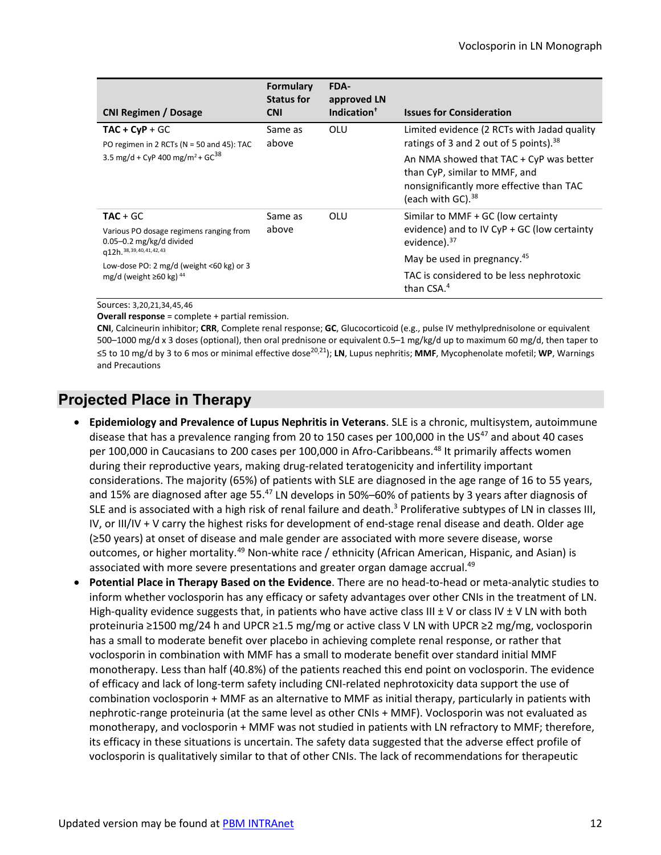| <b>CNI Regimen / Dosage</b>                                                                             | <b>Formulary</b><br><b>Status for</b><br><b>CNI</b> | FDA-<br>approved LN<br>Indication <sup>†</sup> | <b>Issues for Consideration</b>                                                                                                                       |
|---------------------------------------------------------------------------------------------------------|-----------------------------------------------------|------------------------------------------------|-------------------------------------------------------------------------------------------------------------------------------------------------------|
| $TAC + CyP + GC$<br>PO regimen in 2 RCTs ( $N = 50$ and 45): TAC                                        | Same as<br>above                                    | OLU                                            | Limited evidence (2 RCTs with Jadad quality<br>ratings of 3 and 2 out of 5 points). <sup>38</sup>                                                     |
| 3.5 mg/d + CyP 400 mg/m <sup>2</sup> + GC <sup>38</sup>                                                 |                                                     |                                                | An NMA showed that TAC + CyP was better<br>than CyP, similar to MMF, and<br>nonsignificantly more effective than TAC<br>(each with GC). <sup>38</sup> |
| $TAC + GC$                                                                                              | Same as                                             | OLU                                            | Similar to MMF + GC (low certainty                                                                                                                    |
| Various PO dosage regimens ranging from<br>$0.05 - 0.2$ mg/kg/d divided<br>q12h. 38, 39, 40, 41, 42, 43 | above                                               |                                                | evidence) and to IV CyP + GC (low certainty<br>evidence). $37$                                                                                        |
| Low-dose PO: 2 mg/d (weight $\leq 60$ kg) or 3                                                          |                                                     |                                                | May be used in pregnancy. <sup>45</sup>                                                                                                               |
| mg/d (weight $\geq 60$ kg) <sup>44</sup>                                                                |                                                     |                                                | TAC is considered to be less nephrotoxic<br>than $CSA.4$                                                                                              |

<span id="page-11-1"></span><span id="page-11-0"></span>Sources: [3,](#page-0-0)[20](#page-8-0)[,21,](#page-8-2)[34,](#page-10-5)[45](#page-15-2),[46](#page-15-3) 

**Overall response** = complete + partial remission.

<span id="page-11-2"></span> 500–1000 mg/d x 3 doses (optional), then oral prednisone or equivalent 0.5–1 mg/kg/d up to maximum 60 mg/d, then taper to ≤5 to 10 mg/d by 3 to 6 mos or minimal effective dose[20](#page-8-0)[,21\)](#page-8-2); **LN**, Lupus nephritis; **MMF**, Mycophenolate mofetil; **WP**, Warnings and Precautions **CNI**, Calcineurin inhibitor; **CRR**, Complete renal response; **GC**, Glucocorticoid (e.g., pulse IV methylprednisolone or equivalent

## **Projected Place in Therapy**

- per 100,000 in Caucasians to 200 cases per 100,000 in Afro-Caribbeans.<sup>48</sup> It primarily affects women considerations. The majority (65%) of patients with SLE are diagnosed in the age range of 16 to 55 years, and 15% are diagnosed after age 55.[47](#page-11-2) LN develops in 50%–60% of patients by 3 years after diagnosis of SLE and is associated with a high risk of renal failure and death.<sup>3</sup> Proliferative subtypes of LN in classes III, IV, or III/IV + V carry the highest risks for development of end-stage renal disease and death. Older age outcomes, or higher mortality.<sup>49</sup> Non-white race / ethnicity (African American, Hispanic, and Asian) is associated with more severe presentations and greater organ damage accrual.<sup>49</sup> • **Epidemiology and Prevalence of Lupus Nephritis in Veterans**. SLE is a chronic, multisystem, autoimmune disease that has a prevalence ranging from 20 to 150 cases per 100,000 in the  $US^{47}$  $US^{47}$  $US^{47}$  and about 40 cases during their reproductive years, making drug-related teratogenicity and infertility important (≥50 years) at onset of disease and male gender are associated with more severe disease, worse
- <span id="page-11-3"></span> • **Potential Place in Therapy Based on the Evidence**. There are no head-to-head or meta-analytic studies to inform whether voclosporin has any efficacy or safety advantages over other CNIs in the treatment of LN. proteinuria ≥1500 mg/24 h and UPCR ≥1.5 mg/mg or active class V LN with UPCR ≥2 mg/mg, voclosporin has a small to moderate benefit over placebo in achieving complete renal response, or rather that monotherapy. Less than half (40.8%) of the patients reached this end point on voclosporin. The evidence of efficacy and lack of long-term safety including CNI-related nephrotoxicity data support the use of combination voclosporin + MMF as an alternative to MMF as initial therapy, particularly in patients with monotherapy, and voclosporin + MMF was not studied in patients with LN refractory to MMF; therefore, voclosporin is qualitatively similar to that of other CNIs. The lack of recommendations for therapeutic High-quality evidence suggests that, in patients who have active class III  $\pm$  V or class IV  $\pm$  V LN with both voclosporin in combination with MMF has a small to moderate benefit over standard initial MMF nephrotic-range proteinuria (at the same level as other CNIs + MMF). Voclosporin was not evaluated as its efficacy in these situations is uncertain. The safety data suggested that the adverse effect profile of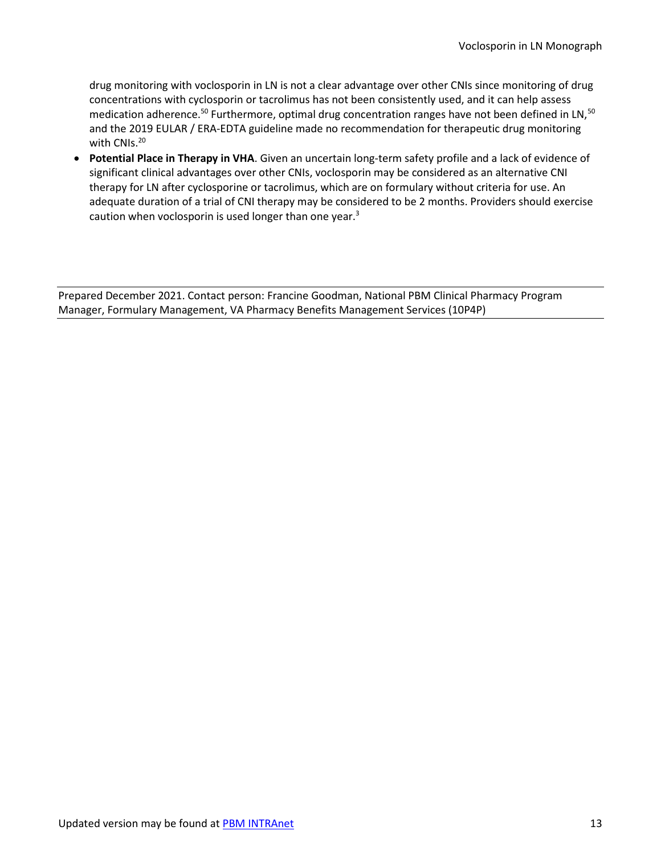<span id="page-12-0"></span> drug monitoring with voclosporin in LN is not a clear advantage over other CNIs since monitoring of drug with CNIs.<sup>[20](#page-8-0)</sup> concentrations with cyclosporin or tacrolimus has not been consistently used, and it can help assess medication adherence.<sup>[50](#page-15-7)</sup> Furthermore, optimal drug concentration ranges have not been defined in LN,<sup>50</sup> and the 2019 EULAR / ERA-EDTA guideline made no recommendation for therapeutic drug monitoring

 • **Potential Place in Therapy in VHA**. Given an uncertain long-term safety profile and a lack of evidence of therapy for LN after cyclosporine or tacrolimus, which are on formulary without criteria for use. An adequate duration of a trial of CNI therapy may be considered to be 2 months. Providers should exercise caution when voclosporin is used longer than one year. $3$ significant clinical advantages over other CNIs, voclosporin may be considered as an alternative CNI

Prepared December 2021. Contact person: Francine Goodman, National PBM Clinical Pharmacy Program Manager, Formulary Management, VA Pharmacy Benefits Management Services (10P4P)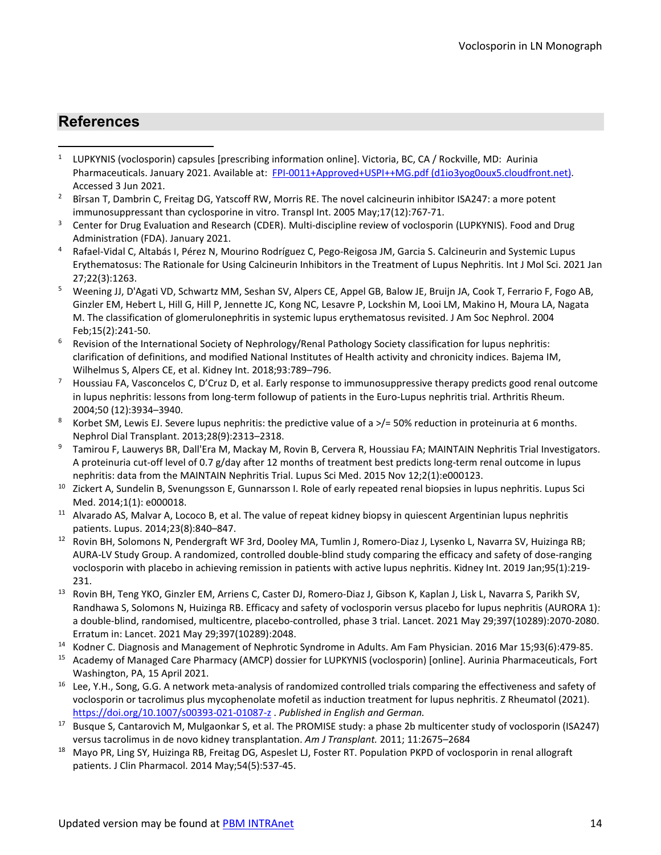## **References**

- <span id="page-13-0"></span> $\mathbf{1}$ Pharmaceuticals. January 2021. Available at: FPI-0011+Approved+USPI++MG.pdf [\(d1io3yog0oux5.cloudfront.net\)](https://d1io3yog0oux5.cloudfront.net/auriniapharma/files/pages/lupkynis-prescribing-information/FPI-0011+Approved+USPI++MG.pdf). Accessed 3 Jun 2021. <sup>1</sup>LUPKYNIS (voclosporin) capsules [prescribing information online]. Victoria, BC, CA / Rockville, MD: Aurinia
- <span id="page-13-1"></span><sup>2</sup> Bîrsan T, Dambrin C, Freitag DG, Yatscoff RW, Morris RE. The novel calcineurin inhibitor ISA247: a more potent immunosuppressant than cyclosporine in vitro. Transpl Int. 2005 May;17(12):767-71.
- <span id="page-13-2"></span> $\mathsf 3$  Administration (FDA). January 2021. Center for Drug Evaluation and Research (CDER). Multi-discipline review of voclosporin (LUPKYNIS). Food and Drug
- <span id="page-13-3"></span> $\overline{\mathbf{4}}$ 4 Rafael-Vidal C, Altabás I, Pérez N, Mourino Rodríguez C, Pego-Reigosa JM, Garcia S. Calcineurin and Systemic Lupus Erythematosus: The Rationale for Using Calcineurin Inhibitors in the Treatment of Lupus Nephritis. Int J Mol Sci. 2021 Jan 27;22(3):1263.
- <span id="page-13-4"></span><sup>5</sup> Weening JJ, D'Agati VD, Schwartz MM, Seshan SV, Alpers CE, Appel GB, Balow JE, Bruijn JA, Cook T, Ferrario F, Fogo AB, Ginzler EM, Hebert L, Hill G, Hill P, Jennette JC, Kong NC, Lesavre P, Lockshin M, Looi LM, Makino H, Moura LA, Nagata M. The classification of glomerulonephritis in systemic lupus erythematosus revisited. J Am Soc Nephrol. 2004 Feb;15(2):241-50.
- <span id="page-13-5"></span>6 Revision of the International Society of Nephrology/Renal Pathology Society classification for lupus nephritis: clarification of definitions, and modified National Institutes of Health activity and chronicity indices. Bajema IM,
- <span id="page-13-6"></span>Wilhelmus S, Alpers CE, et al. Kidney Int. 2018;93:789–796.<br>Houssiau FA, Vasconcelos C, D'Cruz D, et al. Early response to immunosuppressive therapy predicts good renal outcome in lupus nephritis: lessons from long-term followup of patients in the Euro-Lupus nephritis trial. Arthritis Rheum. 2004;50 (12):3934–3940.
- <span id="page-13-7"></span>8 Korbet SM, Lewis EJ. Severe lupus nephritis: the predictive value of a  $>$ /= 50% reduction in proteinuria at 6 months.
- <span id="page-13-8"></span> nephritis: data from the MAINTAIN Nephritis Trial. Lupus Sci Med. 2015 Nov 12;2(1):e000123. Nephrol Dial Transplant. 2013;28(9):2313–2318.<br>Tamirou F, Lauwerys BR, Dall'Era M, Mackay M, Rovin B, Cervera R, Houssiau FA; MAINTAIN Nephritis Trial Investigators. A proteinuria cut-off level of 0.7 g/day after 12 months of treatment best predicts long-term renal outcome in lupus
- <span id="page-13-9"></span><sup>10</sup> Zickert A, Sundelin B, Svenungsson E, Gunnarsson I. Role of early repeated renal biopsies in lupus nephritis. Lupus Sci Med. 2014;1(1): e000018.
- <span id="page-13-10"></span>Med. 2014;1(1): e000018.<br><sup>11</sup> Alvarado AS, Malvar A, Lococo B, et al. The value of repeat kidney biopsy in quiescent Argentinian lupus nephritis patients. Lupus. 2014;23(8):840-847.
- <span id="page-13-11"></span>patients. Lupus. 2014;23(8):840–847.<br><sup>12</sup> Rovin BH, Solomons N, Pendergraft WF 3rd, Dooley MA, Tumlin J, Romero-Diaz J, Lysenko L, Navarra SV, Huizinga RB; voclosporin with placebo in achieving remission in patients with active lupus nephritis. Kidney Int. 2019 Jan;95(1):219- AURA-LV Study Group. A randomized, controlled double-blind study comparing the efficacy and safety of dose-ranging
- <span id="page-13-12"></span>231.<br><sup>13</sup> Rovin BH, Teng YKO, Ginzler EM, Arriens C, Caster DJ, Romero-Diaz J, Gibson K, Kaplan J, Lisk L, Navarra S, Parikh SV, a double-blind, randomised, multicentre, placebo-controlled, phase 3 trial. Lancet. 2021 May 29;397(10289):2070-2080. Erratum in: Lancet. 2021 May 29;397(10289):2048. Randhawa S, Solomons N, Huizinga RB. Efficacy and safety of voclosporin versus placebo for lupus nephritis (AURORA 1):
- <span id="page-13-13"></span><sup>14</sup> Kodner C. Diagnosis and Management of Nephrotic Syndrome in Adults. Am Fam Physician. 2016 Mar 15;93(6):479-85.
- <span id="page-13-14"></span><sup>15</sup> Academy of Managed Care Pharmacy (AMCP) dossier for LUPKYNIS (voclosporin) [online]. Aurinia Pharmaceuticals, Fort Washington, PA, 15 April 2021.
- <span id="page-13-15"></span>Washington, PA, 15 April 2021.<br><sup>16</sup> Lee, Y.H., Song, G.G. A network meta-analysis of randomized controlled trials comparing the effectiveness and safety of voclosporin or tacrolimus plus mycophenolate mofetil as induction treatment for lupus nephritis. Z Rheumatol (2021). [https://doi.org/10.1007/s00393](https://doi.org/10.1007/s00393-021-01087-z)-021-01087-z . *Published in English and German.*
- <span id="page-13-16"></span><sup>17</sup> Busque S, Cantarovich M, Mulgaonkar S, et al. The PROMISE study: a phase 2b multicenter study of voclosporin (ISA247) versus tacrolimus in de novo kidney transplantation. Am J Transplant. 2011; 11:2675-2684
- <span id="page-13-17"></span> versus tacrolimus in de novo kidney transplantation. *Am J Transplant.* 2011; 11:2675–2684 18 Mayo PR, Ling SY, Huizinga RB, Freitag DG, Aspeslet LJ, Foster RT. Population PKPD of voclosporin in renal allograft patients. J Clin Pharmacol. 2014 May;54(5):537-45.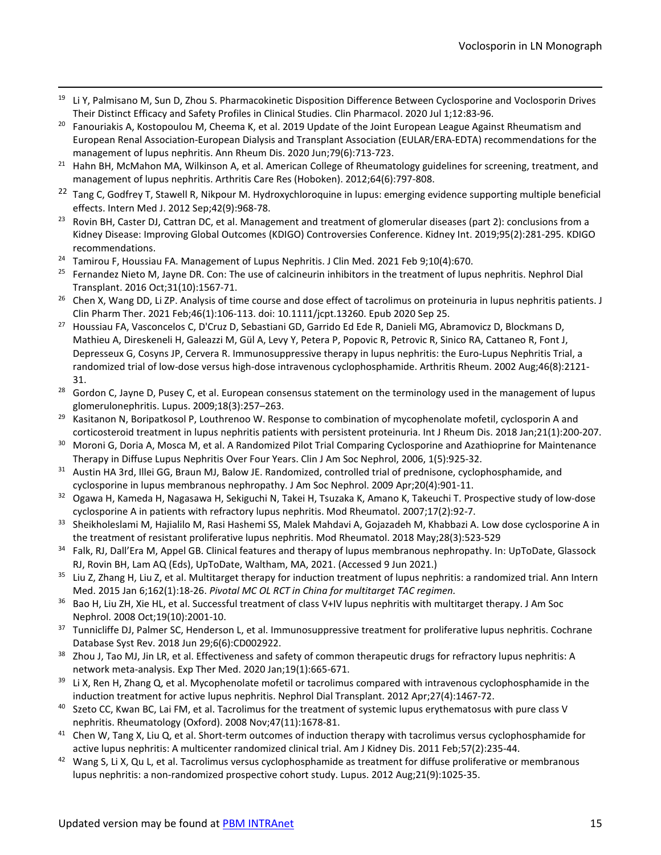- <span id="page-14-0"></span> Their Distinct Efficacy and Safety Profiles in Clinical Studies. Clin Pharmacol. 2020 Jul 1;12:83-96.  $19$  Li Y, Palmisano M, Sun D, Zhou S. Pharmacokinetic Disposition Difference Between Cyclosporine and Voclosporin Drives
- <span id="page-14-1"></span>20 management of lupus nephritis. Ann Rheum Dis. 2020 Jun;79(6):713-723. <sup>20</sup> Fanouriakis A, Kostopoulou M, Cheema K, et al. 2019 Update of the Joint European League Against Rheumatism and European Renal Association-European Dialysis and Transplant Association (EULAR/ERA-EDTA) recommendations for the
- <span id="page-14-2"></span>management of lupus nephritis. Ann Rheum Dis. 2020 Jun;79(6):713-723.<br><sup>21</sup> Hahn BH, McMahon MA, Wilkinson A, et al. American College of Rheumatology guidelines for screening, treatment, and management of lupus nephritis. Arthritis Care Res (Hoboken). 2012;64(6):797-808.
- <span id="page-14-3"></span><sup>22</sup> Tang C, Godfrey T, Stawell R, Nikpour M. Hydroxychloroquine in lupus: emerging evidence supporting multiple beneficial effects. Intern Med J. 2012 Sep;42(9):968-78.
- <span id="page-14-4"></span><sup>23</sup> Rovin BH, Caster DJ, Cattran DC, et al. Management and treatment of glomerular diseases (part 2): conclusions from a Kidney Disease: Improving Global Outcomes (KDIGO) Controversies Conference. Kidney Int. 2019;95(2):281-295. KDIGO
- <span id="page-14-5"></span>recommendations.<br><sup>24</sup> Tamirou F, Houssiau FA. Management of Lupus Nephritis. J Clin Med. 2021 Feb 9;10(4):670.
- <span id="page-14-6"></span><sup>25</sup> Fernandez Nieto M, Jayne DR. Con: The use of calcineurin inhibitors in the treatment of lupus nephritis. Nephrol Dial
- <span id="page-14-7"></span>Transplant. 2016 Oct;31(10):1567-71.<br><sup>26</sup> Chen X, Wang DD, Li ZP. Analysis of time course and dose effect of tacrolimus on proteinuria in lupus nephritis patients. J Clin Pharm Ther. 2021 Feb;46(1):106-113. doi: 10.1111/jcpt.13260. Epub 2020 Sep 25.
- <span id="page-14-8"></span><sup>27</sup> Houssiau FA, Vasconcelos C, D'Cruz D, Sebastiani GD, Garrido Ed Ede R, Danieli MG, Abramovicz D, Blockmans D, Depresseux G, Cosyns JP, Cervera R. Immunosuppressive therapy in lupus nephritis: the Euro-Lupus Nephritis Trial, a randomized trial of low-dose versus high-dose intravenous cyclophosphamide. Arthritis Rheum. 2002 Aug;46(8):2121- Mathieu A, Direskeneli H, Galeazzi M, Gül A, Levy Y, Petera P, Popovic R, Petrovic R, Sinico RA, Cattaneo R, Font J,
- <span id="page-14-9"></span>31.<br><sup>28</sup> Gordon C, Jayne D, Pusey C, et al. European consensus statement on the terminology used in the management of lupus glomerulonephritis. Lupus. 2009;18(3):257-263.
- <span id="page-14-10"></span>glomerulonephritis. Lupus. 2009;18(3):257–263.<br><sup>29</sup> Kasitanon N, Boripatkosol P, Louthrenoo W. Response to combination of mycophenolate mofetil, cyclosporin A and corticosteroid treatment in lupus nephritis patients with persistent proteinuria. Int J Rheum Dis. 2018 Jan;21(1):200-207.
- <span id="page-14-11"></span> $30$ <sup>30</sup> Moroni G, Doria A, Mosca M, et al. A Randomized Pilot Trial Comparing Cyclosporine and Azathioprine for Maintenance
- <span id="page-14-12"></span>Therapy in Diffuse Lupus Nephritis Over Four Years. Clin J Am Soc Nephrol, 2006, 1(5):925-32.<br><sup>31</sup> Austin HA 3rd, Illei GG, Braun MJ, Balow JE. Randomized, controlled trial of prednisone, cyclophosphamide, and cyclosporine in lupus membranous nephropathy. J Am Soc Nephrol. 2009 Apr;20(4):901-11.
- <span id="page-14-13"></span>cyclosporine in lupus membranous nephropathy. J Am Soc Nephrol. 2009 Apr;20(4):901-11.<br><sup>32</sup> Ogawa H, Kameda H, Nagasawa H, Sekiguchi N, Takei H, Tsuzaka K, Amano K, Takeuchi T. Prospective study of low-dose cyclosporine A in patients with refractory lupus nephritis. Mod Rheumatol. 2007;17(2):92-7.
- <span id="page-14-14"></span>cyclosporine A in patients with refractory lupus nephritis. Mod Rheumatol. 2007;17(2):92-7.<br>33 Sheikholeslami M, Hajialilo M, Rasi Hashemi SS, Malek Mahdavi A, Gojazadeh M, Khabbazi A. Low dose cyclosporine A in the treatment of resistant proliferative lupus nephritis. Mod Rheumatol. 2018 May;28(3):523-529
- <span id="page-14-15"></span><sup>34</sup> Falk, RJ, Dall'Era M, Appel GB. Clinical features and therapy of lupus membranous nephropathy. In: UpToDate, Glassock RJ, Rovin BH, Lam AQ (Eds), UpToDate, Waltham, MA, 2021. (Accessed 9 Jun 2021.)
- <span id="page-14-16"></span><sup>35</sup> Liu Z, Zhang H, Liu Z, et al. Multitarget therapy for induction treatment of lupus nephritis: a randomized trial. Ann Intern Med. 2015 Jan 6;162(1):18-26. *Pivotal MC OL RCT in China for multitarget TAC regimen.*
- <span id="page-14-17"></span>36 Bao H, Liu ZH, Xie HL, et al. Successful treatment of class V+IV lupus nephritis with multitarget therapy. J Am Soc Nephrol. 2008 Oct;19(10):2001-10.
- <span id="page-14-18"></span>37 Database Syst Rev. 2018 Jun 29;6(6):CD002922. <sup>37</sup>Tunnicliffe DJ, Palmer SC, Henderson L, et al. Immunosuppressive treatment for proliferative lupus nephritis. Cochrane
- <span id="page-14-19"></span><sup>38</sup> Zhou J, Tao MJ, Jin LR, et al. Effectiveness and safety of common therapeutic drugs for refractory lupus nephritis: A network meta-analysis. Exp Ther Med. 2020 Jan;19(1):665-671.
- <span id="page-14-20"></span> induction treatment for active lupus nephritis. Nephrol Dial Transplant. 2012 Apr;27(4):1467-72. Li X, Ren H, Zhang Q, et al. Mycophenolate mofetil or tacrolimus compared with intravenous cyclophosphamide in the
- <span id="page-14-21"></span> $^{40}$  Szeto CC, Kwan BC, Lai FM, et al. Tacrolimus for the treatment of systemic lupus erythematosus with pure class V nephritis. Rheumatology (Oxford). 2008 Nov;47(11):1678-81.
- <span id="page-14-22"></span>nephritis. Rheumatology (Oxford). 2008 Nov;47(11):1678-81.<br><sup>41</sup> Chen W, Tang X, Liu Q, et al. Short-term outcomes of induction therapy with tacrolimus versus cyclophosphamide for active lupus nephritis: A multicenter randomized clinical trial. Am J Kidney Dis. 2011 Feb;57(2):235-44.
- <span id="page-14-23"></span>active lupus nephritis: A multicenter randomized clinical trial. Am J Kidney Dis. 2011 Feb;57(2):235-44.<br><sup>42</sup> Wang S, Li X, Qu L, et al. Tacrolimus versus cyclophosphamide as treatment for diffuse proliferative or membran lupus nephritis: a non-randomized prospective cohort study. Lupus. 2012 Aug;21(9):1025-35.